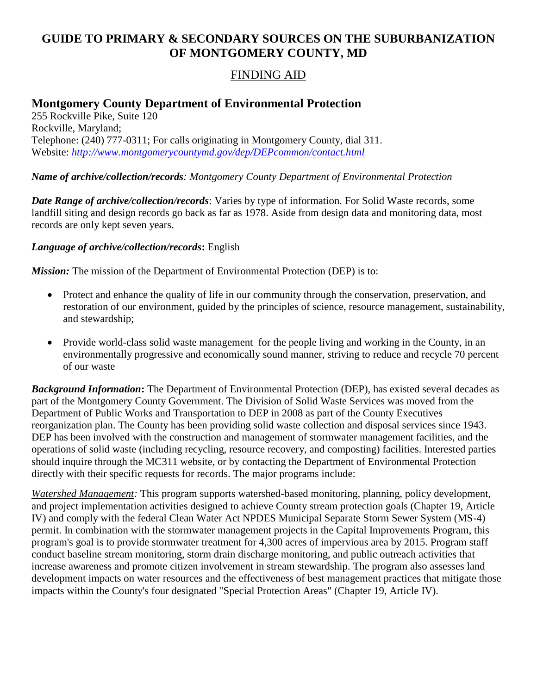# **GUIDE TO PRIMARY & SECONDARY SOURCES ON THE SUBURBANIZATION OF MONTGOMERY COUNTY, MD**

## FINDING AID

## **Montgomery County Department of Environmental Protection**

255 Rockville Pike, Suite 120 Rockville, Maryland; Telephone: (240) 777-0311; For calls originating in Montgomery County, dial 311. Website: *<http://www.montgomerycountymd.gov/dep/DEPcommon/contact.html>*

#### *Name of archive/collection/records: Montgomery County Department of Environmental Protection*

*Date Range of archive/collection/records*: Varies by type of information*.* For Solid Waste records, some landfill siting and design records go back as far as 1978. Aside from design data and monitoring data, most records are only kept seven years.

#### *Language of archive/collection/records***:** English

*Mission:* The mission of the Department of Environmental Protection (DEP) is to:

- Protect and enhance the quality of life in our community through the conservation, preservation, and restoration of our environment, guided by the principles of science, resource management, sustainability, and stewardship;
- Provide world-class solid waste management for the people living and working in the County, in an environmentally progressive and economically sound manner, striving to reduce and recycle 70 percent of our waste

*Background Information***:** The Department of Environmental Protection (DEP), has existed several decades as part of the Montgomery County Government. The Division of Solid Waste Services was moved from the Department of Public Works and Transportation to DEP in 2008 as part of the County Executives reorganization plan. The County has been providing solid waste collection and disposal services since 1943. DEP has been involved with the construction and management of stormwater management facilities, and the operations of solid waste (including recycling, resource recovery, and composting) facilities. Interested parties should inquire through the MC311 website, or by contacting the Department of Environmental Protection directly with their specific requests for records. The major programs include:

*Watershed Management:* This program supports watershed-based monitoring, planning, policy development, and project implementation activities designed to achieve County stream protection goals (Chapter 19, Article IV) and comply with the federal Clean Water Act NPDES Municipal Separate Storm Sewer System (MS-4) permit. In combination with the stormwater management projects in the Capital Improvements Program, this program's goal is to provide stormwater treatment for 4,300 acres of impervious area by 2015. Program staff conduct baseline stream monitoring, storm drain discharge monitoring, and public outreach activities that increase awareness and promote citizen involvement in stream stewardship. The program also assesses land development impacts on water resources and the effectiveness of best management practices that mitigate those impacts within the County's four designated "Special Protection Areas" (Chapter 19, Article IV).